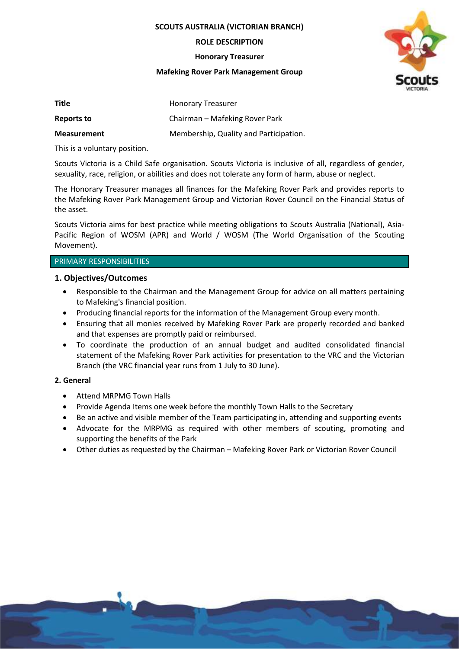**SCOUTS AUSTRALIA (VICTORIAN BRANCH)**

**ROLE DESCRIPTION**

**Honorary Treasurer**

### **Mafeking Rover Park Management Group**



| <b>Title</b>       | <b>Honorary Treasurer</b>              |
|--------------------|----------------------------------------|
| Reports to         | Chairman – Mafeking Rover Park         |
| <b>Measurement</b> | Membership, Quality and Participation. |

This is a voluntary position.

Scouts Victoria is a Child Safe organisation. Scouts Victoria is inclusive of all, regardless of gender, sexuality, race, religion, or abilities and does not tolerate any form of harm, abuse or neglect.

The Honorary Treasurer manages all finances for the Mafeking Rover Park and provides reports to the Mafeking Rover Park Management Group and Victorian Rover Council on the Financial Status of the asset.

Scouts Victoria aims for best practice while meeting obligations to Scouts Australia (National), Asia-Pacific Region of WOSM (APR) and World / WOSM (The World Organisation of the Scouting Movement).

# PRIMARY RESPONSIBILITIES

# **1. Objectives/Outcomes**

- Responsible to the Chairman and the Management Group for advice on all matters pertaining to Mafeking's financial position.
- Producing financial reports for the information of the Management Group every month.
- Ensuring that all monies received by Mafeking Rover Park are properly recorded and banked and that expenses are promptly paid or reimbursed.
- To coordinate the production of an annual budget and audited consolidated financial statement of the Mafeking Rover Park activities for presentation to the VRC and the Victorian Branch (the VRC financial year runs from 1 July to 30 June).

### **2. General**

- Attend MRPMG Town Halls
- Provide Agenda Items one week before the monthly Town Halls to the Secretary
- Be an active and visible member of the Team participating in, attending and supporting events
- Advocate for the MRPMG as required with other members of scouting, promoting and supporting the benefits of the Park
- Other duties as requested by the Chairman Mafeking Rover Park or Victorian Rover Council